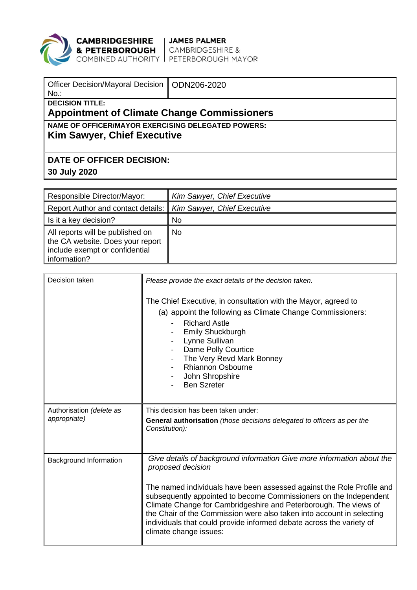

## **CAMBRIDGESHIRE** JAMES PALMER<br>**& PETERBOROUGH** CAMBRIDGESHIRE &<br>COMBINED AUTHORITY PETERBOROUGH MAYOR

| Officer Decision/Mayoral Decision   ODN206-2020<br>$No.$ :                        |  |  |  |  |
|-----------------------------------------------------------------------------------|--|--|--|--|
| <b>DECISION TITLE:</b><br><b>Appointment of Climate Change Commissioners</b>      |  |  |  |  |
| NAME OF OFFICER/MAYOR EXERCISING DELEGATED POWERS:<br>Kim Sawyer, Chief Executive |  |  |  |  |
| <b>DATE OF OFFICER DECISION:</b>                                                  |  |  |  |  |
| 30 July 2020                                                                      |  |  |  |  |

| Responsible Director/Mayor:                                                                                            | Kim Sawyer, Chief Executive        |
|------------------------------------------------------------------------------------------------------------------------|------------------------------------|
| Report Author and contact details:                                                                                     | <b>Kim Sawyer, Chief Executive</b> |
| Is it a key decision?                                                                                                  | <b>No</b>                          |
| All reports will be published on<br>the CA website. Does your report<br>include exempt or confidential<br>information? | N <sub>0</sub>                     |

| Decision taken                           | Please provide the exact details of the decision taken.<br>The Chief Executive, in consultation with the Mayor, agreed to<br>(a) appoint the following as Climate Change Commissioners:<br><b>Richard Astle</b><br>Emily Shuckburgh<br>Lynne Sullivan<br>Dame Polly Courtice<br>The Very Revd Mark Bonney<br>$\blacksquare$<br><b>Rhiannon Osbourne</b><br>John Shropshire<br><b>Ben Szreter</b>                                                                                         |
|------------------------------------------|------------------------------------------------------------------------------------------------------------------------------------------------------------------------------------------------------------------------------------------------------------------------------------------------------------------------------------------------------------------------------------------------------------------------------------------------------------------------------------------|
| Authorisation (delete as<br>appropriate) | This decision has been taken under:<br>General authorisation (those decisions delegated to officers as per the<br>Constitution):                                                                                                                                                                                                                                                                                                                                                         |
| <b>Background Information</b>            | Give details of background information Give more information about the<br>proposed decision<br>The named individuals have been assessed against the Role Profile and<br>subsequently appointed to become Commissioners on the Independent<br>Climate Change for Cambridgeshire and Peterborough. The views of<br>the Chair of the Commission were also taken into account in selecting<br>individuals that could provide informed debate across the variety of<br>climate change issues: |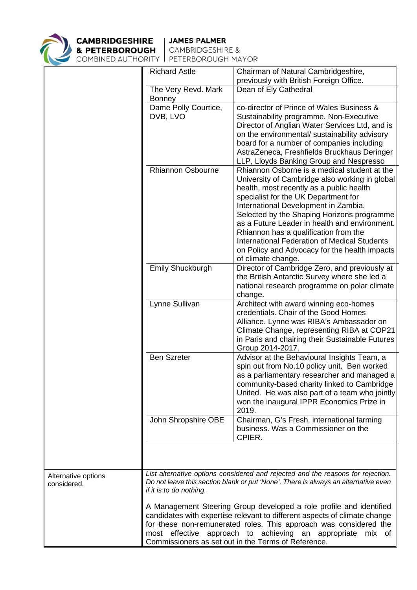

**CAMBRIDGESHIRE** | JAMES PALMER<br>**& PETERBOROUGH** | CAMBRIDGESHIRE &

COMBINED AUTHORITY | PETERBOROUGH MAYOR

|                                    | <b>Richard Astle</b>                                                                                                                                                                                                                                                                                                                | Chairman of Natural Cambridgeshire,<br>previously with British Foreign Office.                                                                                                                                                                                                                                                                                                                                                                                                                   |  |  |  |
|------------------------------------|-------------------------------------------------------------------------------------------------------------------------------------------------------------------------------------------------------------------------------------------------------------------------------------------------------------------------------------|--------------------------------------------------------------------------------------------------------------------------------------------------------------------------------------------------------------------------------------------------------------------------------------------------------------------------------------------------------------------------------------------------------------------------------------------------------------------------------------------------|--|--|--|
|                                    | The Very Revd. Mark<br><b>Bonney</b>                                                                                                                                                                                                                                                                                                | Dean of Ely Cathedral                                                                                                                                                                                                                                                                                                                                                                                                                                                                            |  |  |  |
|                                    | Dame Polly Courtice,<br>DVB, LVO                                                                                                                                                                                                                                                                                                    | co-director of Prince of Wales Business &<br>Sustainability programme. Non-Executive<br>Director of Anglian Water Services Ltd, and is<br>on the environmental/ sustainability advisory<br>board for a number of companies including<br>AstraZeneca, Freshfields Bruckhaus Deringer<br>LLP, Lloyds Banking Group and Nespresso                                                                                                                                                                   |  |  |  |
|                                    | Rhiannon Osbourne                                                                                                                                                                                                                                                                                                                   | Rhiannon Osborne is a medical student at the<br>University of Cambridge also working in global<br>health, most recently as a public health<br>specialist for the UK Department for<br>International Development in Zambia.<br>Selected by the Shaping Horizons programme<br>as a Future Leader in health and environment.<br>Rhiannon has a qualification from the<br><b>International Federation of Medical Students</b><br>on Policy and Advocacy for the health impacts<br>of climate change. |  |  |  |
|                                    | Emily Shuckburgh                                                                                                                                                                                                                                                                                                                    | Director of Cambridge Zero, and previously at<br>the British Antarctic Survey where she led a<br>national research programme on polar climate<br>change.                                                                                                                                                                                                                                                                                                                                         |  |  |  |
|                                    | Lynne Sullivan                                                                                                                                                                                                                                                                                                                      | Architect with award winning eco-homes<br>credentials. Chair of the Good Homes<br>Alliance. Lynne was RIBA's Ambassador on<br>Climate Change, representing RIBA at COP21<br>in Paris and chairing their Sustainable Futures<br>Group 2014-2017.                                                                                                                                                                                                                                                  |  |  |  |
|                                    | <b>Ben Szreter</b>                                                                                                                                                                                                                                                                                                                  | Advisor at the Behavioural Insights Team, a<br>spin out from No.10 policy unit. Ben worked<br>as a parliamentary researcher and managed a<br>community-based charity linked to Cambridge<br>United. He was also part of a team who jointly<br>won the inaugural IPPR Economics Prize in<br>2019.                                                                                                                                                                                                 |  |  |  |
|                                    | John Shropshire OBE                                                                                                                                                                                                                                                                                                                 | Chairman, G's Fresh, international farming<br>business. Was a Commissioner on the<br>CPIER.                                                                                                                                                                                                                                                                                                                                                                                                      |  |  |  |
|                                    |                                                                                                                                                                                                                                                                                                                                     |                                                                                                                                                                                                                                                                                                                                                                                                                                                                                                  |  |  |  |
| Alternative options<br>considered. | List alternative options considered and rejected and the reasons for rejection.<br>Do not leave this section blank or put 'None'. There is always an alternative even<br>if it is to do nothing.                                                                                                                                    |                                                                                                                                                                                                                                                                                                                                                                                                                                                                                                  |  |  |  |
|                                    | A Management Steering Group developed a role profile and identified<br>candidates with expertise relevant to different aspects of climate change<br>for these non-remunerated roles. This approach was considered the<br>most effective approach to achieving an appropriate<br>Commissioners as set out in the Terms of Reference. |                                                                                                                                                                                                                                                                                                                                                                                                                                                                                                  |  |  |  |